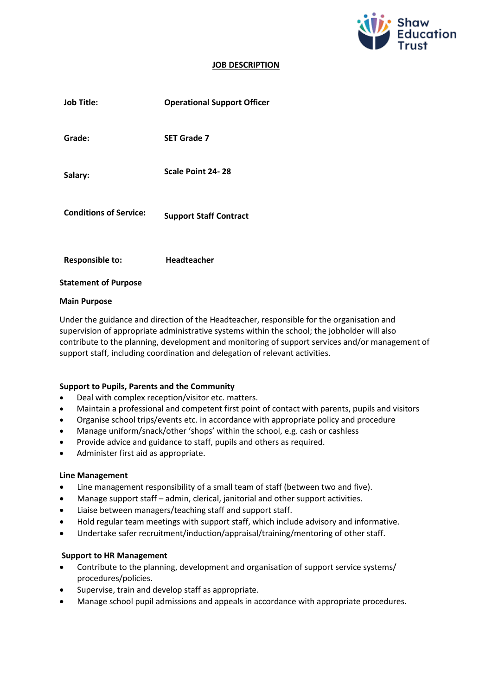

#### **JOB DESCRIPTION**

| <b>Job Title:</b>             | <b>Operational Support Officer</b> |
|-------------------------------|------------------------------------|
| Grade:                        | <b>SET Grade 7</b>                 |
| Salary:                       | Scale Point 24-28                  |
| <b>Conditions of Service:</b> | <b>Support Staff Contract</b>      |
| <b>Responsible to:</b>        | Headteacher                        |

#### **Statement of Purpose**

#### **Main Purpose**

Under the guidance and direction of the Headteacher, responsible for the organisation and supervision of appropriate administrative systems within the school; the jobholder will also contribute to the planning, development and monitoring of support services and/or management of support staff, including coordination and delegation of relevant activities.

## **Support to Pupils, Parents and the Community**

- Deal with complex reception/visitor etc. matters.
- Maintain a professional and competent first point of contact with parents, pupils and visitors
- Organise school trips/events etc. in accordance with appropriate policy and procedure
- Manage uniform/snack/other 'shops' within the school, e.g. cash or cashless
- Provide advice and guidance to staff, pupils and others as required.
- Administer first aid as appropriate.

#### **Line Management**

- Line management responsibility of a small team of staff (between two and five).
- Manage support staff admin, clerical, janitorial and other support activities.
- Liaise between managers/teaching staff and support staff.
- Hold regular team meetings with support staff, which include advisory and informative.
- Undertake safer recruitment/induction/appraisal/training/mentoring of other staff.

#### **Support to HR Management**

- Contribute to the planning, development and organisation of support service systems/ procedures/policies.
- Supervise, train and develop staff as appropriate.
- Manage school pupil admissions and appeals in accordance with appropriate procedures.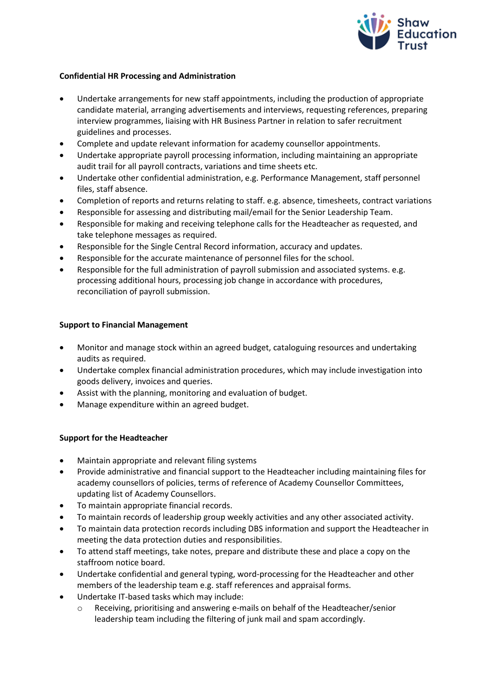

## **Confidential HR Processing and Administration**

- Undertake arrangements for new staff appointments, including the production of appropriate candidate material, arranging advertisements and interviews, requesting references, preparing interview programmes, liaising with HR Business Partner in relation to safer recruitment guidelines and processes.
- Complete and update relevant information for academy counsellor appointments.
- Undertake appropriate payroll processing information, including maintaining an appropriate audit trail for all payroll contracts, variations and time sheets etc.
- Undertake other confidential administration, e.g. Performance Management, staff personnel files, staff absence.
- Completion of reports and returns relating to staff. e.g. absence, timesheets, contract variations
- Responsible for assessing and distributing mail/email for the Senior Leadership Team.
- Responsible for making and receiving telephone calls for the Headteacher as requested, and take telephone messages as required.
- Responsible for the Single Central Record information, accuracy and updates.
- Responsible for the accurate maintenance of personnel files for the school.
- Responsible for the full administration of payroll submission and associated systems. e.g. processing additional hours, processing job change in accordance with procedures, reconciliation of payroll submission.

## **Support to Financial Management**

- Monitor and manage stock within an agreed budget, cataloguing resources and undertaking audits as required.
- Undertake complex financial administration procedures, which may include investigation into goods delivery, invoices and queries.
- Assist with the planning, monitoring and evaluation of budget.
- Manage expenditure within an agreed budget.

## **Support for the Headteacher**

- Maintain appropriate and relevant filing systems
- Provide administrative and financial support to the Headteacher including maintaining files for academy counsellors of policies, terms of reference of Academy Counsellor Committees, updating list of Academy Counsellors.
- To maintain appropriate financial records.
- To maintain records of leadership group weekly activities and any other associated activity.
- To maintain data protection records including DBS information and support the Headteacher in meeting the data protection duties and responsibilities.
- To attend staff meetings, take notes, prepare and distribute these and place a copy on the staffroom notice board.
- Undertake confidential and general typing, word-processing for the Headteacher and other members of the leadership team e.g. staff references and appraisal forms.
- Undertake IT-based tasks which may include:
	- o Receiving, prioritising and answering e-mails on behalf of the Headteacher/senior leadership team including the filtering of junk mail and spam accordingly.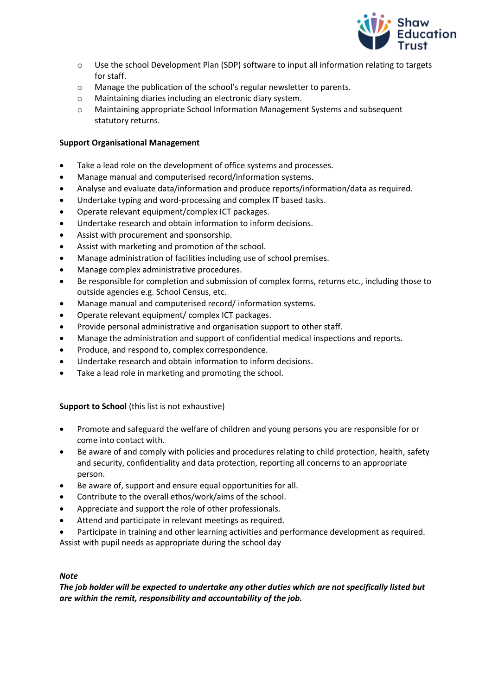

- o Use the school Development Plan (SDP) software to input all information relating to targets for staff.
- o Manage the publication of the school's regular newsletter to parents.
- o Maintaining diaries including an electronic diary system.
- o Maintaining appropriate School Information Management Systems and subsequent statutory returns.

# **Support Organisational Management**

- Take a lead role on the development of office systems and processes.
- Manage manual and computerised record/information systems.
- Analyse and evaluate data/information and produce reports/information/data as required.
- Undertake typing and word-processing and complex IT based tasks.
- Operate relevant equipment/complex ICT packages.
- Undertake research and obtain information to inform decisions.
- Assist with procurement and sponsorship.
- Assist with marketing and promotion of the school.
- Manage administration of facilities including use of school premises.
- Manage complex administrative procedures.
- Be responsible for completion and submission of complex forms, returns etc., including those to outside agencies e.g. School Census, etc.
- Manage manual and computerised record/ information systems.
- Operate relevant equipment/ complex ICT packages.
- Provide personal administrative and organisation support to other staff.
- Manage the administration and support of confidential medical inspections and reports.
- Produce, and respond to, complex correspondence.
- Undertake research and obtain information to inform decisions.
- Take a lead role in marketing and promoting the school.

# **Support to School** (this list is not exhaustive)

- Promote and safeguard the welfare of children and young persons you are responsible for or come into contact with.
- Be aware of and comply with policies and procedures relating to child protection, health, safety and security, confidentiality and data protection, reporting all concerns to an appropriate person.
- Be aware of, support and ensure equal opportunities for all.
- Contribute to the overall ethos/work/aims of the school.
- Appreciate and support the role of other professionals.
- Attend and participate in relevant meetings as required.
- Participate in training and other learning activities and performance development as required.
- Assist with pupil needs as appropriate during the school day

## *Note*

*The job holder will be expected to undertake any other duties which are not specifically listed but are within the remit, responsibility and accountability of the job.*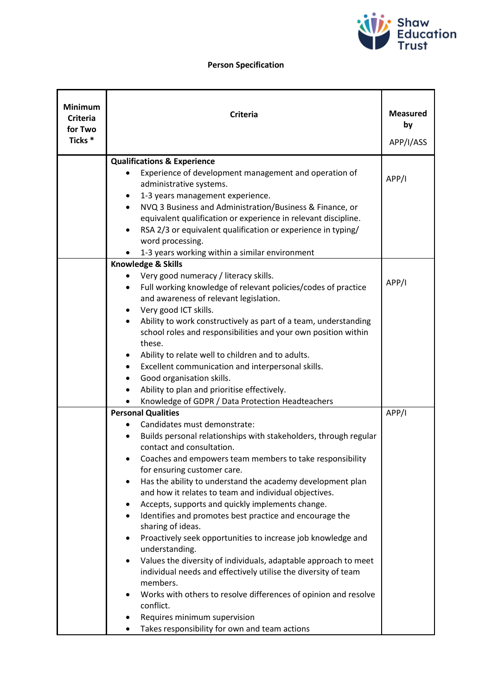

# **Person Specification**

| <b>Minimum</b><br><b>Criteria</b><br>for Two<br>Ticks <sup>*</sup> | <b>Criteria</b>                                                                                                                                                                                                                                                                                                                                                                                                                                                                                                                                                                                                                                                                                                                                                                                                                                                                                                                                                       | <b>Measured</b><br>by<br>APP/I/ASS |
|--------------------------------------------------------------------|-----------------------------------------------------------------------------------------------------------------------------------------------------------------------------------------------------------------------------------------------------------------------------------------------------------------------------------------------------------------------------------------------------------------------------------------------------------------------------------------------------------------------------------------------------------------------------------------------------------------------------------------------------------------------------------------------------------------------------------------------------------------------------------------------------------------------------------------------------------------------------------------------------------------------------------------------------------------------|------------------------------------|
|                                                                    | <b>Qualifications &amp; Experience</b><br>Experience of development management and operation of<br>administrative systems.<br>1-3 years management experience.<br>٠<br>NVQ 3 Business and Administration/Business & Finance, or<br>$\bullet$<br>equivalent qualification or experience in relevant discipline.<br>RSA 2/3 or equivalent qualification or experience in typing/<br>٠<br>word processing.<br>1-3 years working within a similar environment                                                                                                                                                                                                                                                                                                                                                                                                                                                                                                             | APP/I                              |
|                                                                    | Knowledge & Skills<br>Very good numeracy / literacy skills.<br>Full working knowledge of relevant policies/codes of practice<br>٠<br>and awareness of relevant legislation.<br>Very good ICT skills.<br>٠<br>Ability to work constructively as part of a team, understanding<br>school roles and responsibilities and your own position within<br>these.<br>Ability to relate well to children and to adults.<br>Excellent communication and interpersonal skills.<br>٠<br>Good organisation skills.<br>٠<br>Ability to plan and prioritise effectively.<br>Knowledge of GDPR / Data Protection Headteachers                                                                                                                                                                                                                                                                                                                                                          | APP/I                              |
|                                                                    | <b>Personal Qualities</b><br>Candidates must demonstrate:<br>Builds personal relationships with stakeholders, through regular<br>$\bullet$<br>contact and consultation.<br>Coaches and empowers team members to take responsibility<br>for ensuring customer care.<br>Has the ability to understand the academy development plan<br>٠<br>and how it relates to team and individual objectives.<br>Accepts, supports and quickly implements change.<br>٠<br>Identifies and promotes best practice and encourage the<br>$\bullet$<br>sharing of ideas.<br>Proactively seek opportunities to increase job knowledge and<br>understanding.<br>Values the diversity of individuals, adaptable approach to meet<br>$\bullet$<br>individual needs and effectively utilise the diversity of team<br>members.<br>Works with others to resolve differences of opinion and resolve<br>conflict.<br>Requires minimum supervision<br>Takes responsibility for own and team actions | APP/I                              |